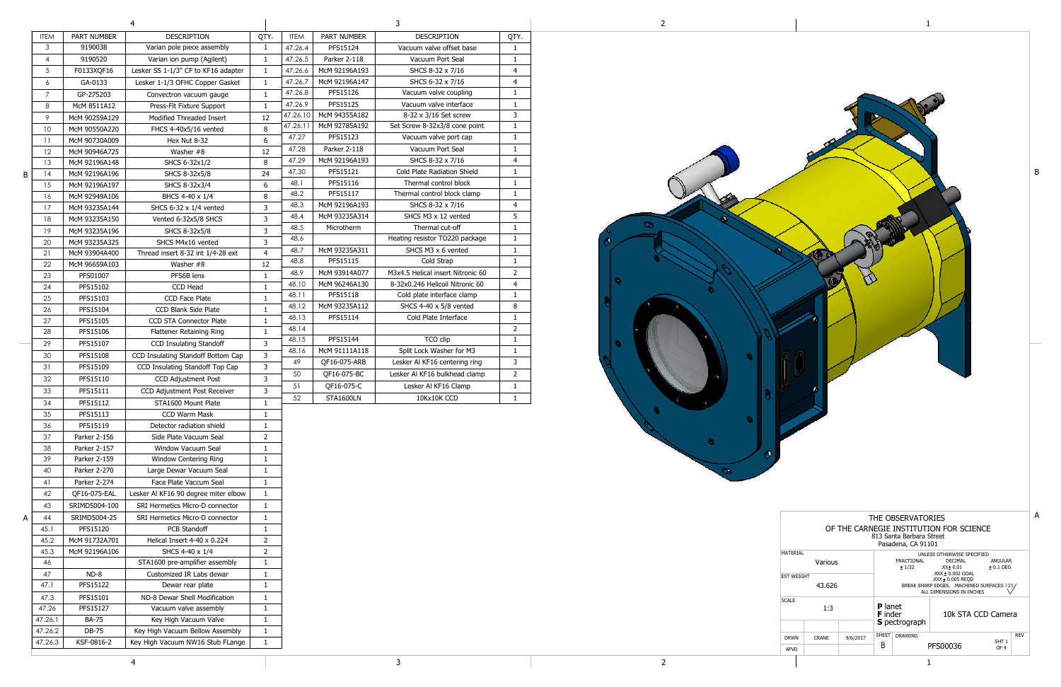|   |                |                    | 4                                    | 3              |             |                  |                                   |                |
|---|----------------|--------------------|--------------------------------------|----------------|-------------|------------------|-----------------------------------|----------------|
|   | <b>ITEM</b>    | <b>PART NUMBER</b> | <b>DESCRIPTION</b>                   | QTY.           | <b>ITEM</b> | PART NUMBER      | <b>DESCRIPTION</b>                | QTY.           |
|   | 3              | 9190038            | Varian pole piece assembly           | $\mathbf{1}$   | 47.26.4     | PFS15124         | Vacuum valve offset base          | $\mathbf{1}$   |
|   | 4              | 9190520            | Varian ion pump (Agilent)            | 1              | 47.26.5     | Parker 2-118     | Vacuum Port Seal                  | $\mathbf{1}$   |
|   | 5              | F0133XQF16         | Lesker SS 1-1/3" CF to KF16 adapter  | $\mathbf{1}$   | 47.26.6     | McM 92196A193    | SHCS 8-32 x 7/16                  | 4              |
|   | 6              | GA-0133            | Lesker 1-1/3 OFHC Copper Gasket      | $\mathbf{1}$   | 47.26.7     | McM 92196A147    | SHCS 6-32 x 7/16                  | 4              |
|   | $\overline{7}$ | GP-275203          | Convectron vacuum gauge              | $\mathbf{1}$   | 47.26.8     | PFS15126         | Vacuum valve coupling             | $\mathbf{1}$   |
|   | 8              | McM 8511A12        | Press-Fit Fixture Support            | $\mathbf{1}$   | 47.26.9     | PFS15125         | Vacuum valve interface            | $\mathbf{1}$   |
|   | 9              | McM 90259A129      | Modified Threaded Insert             | 12             | 47.26.10    | McM 94355A182    | 8-32 x 3/16 Set screw             | $\mathbf{3}$   |
|   | 10             | McM 90550A220      | FHCS 4-40x5/16 vented                | 8              | 47.26.11    | McM 92785A192    | Set Screw 8-32x3/8 cone point     | $\mathbf 1$    |
|   | 11             | McM 90730A009      | Hex Nut 8-32                         | 6              | 47.27       | PFS15123         | Vacuum valve port cap             | $\mathbf{1}$   |
|   | 12             | McM 90946A725      | Washer #8                            | 12             | 47.28       | Parker 2-118     | Vacuum Port Seal                  | $\mathbf{1}$   |
|   | 13             | McM 92196A148      | SHCS 6-32x1/2                        | 8              | 47.29       | McM 92196A193    | SHCS 8-32 x 7/16                  | $\overline{4}$ |
| B | 14             | McM 92196A196      | SHCS 8-32x5/8                        | 24             | 47.30       | PFS15121         | Cold Plate Radiation Shield       | $\mathbf{1}$   |
|   | 15             | McM 92196A197      | SHCS 8-32x3/4                        | 6              | 48.1        | PFS15116         | Thermal control block             | $\mathbf{1}$   |
|   | 16             | McM 92949A106      | BHCS 4-40 x 1/4                      | 8              | 48.2        | PFS15117         | Thermal control block clamp       | $\mathbf{1}$   |
|   | 17             | McM 93235A144      | SHCS $6-32 \times 1/4$ vented        | 3              | 48.3        | McM 92196A193    | SHCS 8-32 x 7/16                  | $\overline{4}$ |
|   | 18             | McM 93235A150      |                                      | 3              | 48.4        | McM 93235A314    | SHCS M3 x 12 vented               | 5              |
|   |                |                    | Vented 6-32x5/8 SHCS                 | 3              | 48.5        | Microtherm       | Thermal cut-off                   | $\mathbf{1}$   |
|   | 19             | McM 93235A196      | SHCS 8-32x5/8                        |                | 48.6        |                  | Heating resistor TO220 package    | $\mathbf{1}$   |
|   | 20             | McM 93235A325      | SHCS M4x16 vented                    | 3              | 48.7        | McM 93235A311    | SHCS M3 x 6 vented                | $\mathbf{1}$   |
|   | 21             | McM 93904A400      | Thread insert 8-32 int 1/4-28 ext    | 4              | 48.8        | PFS15115         | Cold Strap                        | $\mathbf{1}$   |
|   | 22             | McM 96659A103      | Washer #8                            | 12             | 48.9        | McM 93914A077    | M3x4.5 Helical insert Nitronic 60 | $\overline{2}$ |
|   | 23             | PFS01007           | PFS6B lens                           | 1              | 48.10       | McM 96246A130    | 8-32x0.246 Helicoil Nitronic 60   | 4              |
|   | 24             | PFS15102           | CCD Head                             | $\mathbf{1}$   | 48.11       | PFS15118         | Cold plate interface clamp        | $\mathbf{1}$   |
|   | 25             | PFS15103           | <b>CCD Face Plate</b>                | 1              | 48.12       | McM 93235A112    | SHCS 4-40 x 5/8 vented            | 8              |
|   | 26             | PFS15104           | <b>CCD Blank Side Plate</b>          | 1              | 48.13       | PFS15114         | Cold Plate Interface              | $\mathbf{1}$   |
|   | 27             | PFS15105           | <b>CCD STA Connector Plate</b>       | $\mathbf{1}$   | 48.14       |                  |                                   | $\overline{2}$ |
|   | 28             | PFS15106           | Flattener Retaining Ring             | $\mathbf{1}$   | 48.15       | PFS15144         | TCO clip                          | $\mathbf 1$    |
|   | 29             | PFS15107           | CCD Insulating Standoff              | 3              | 48.16       | McM 91111A118    | Split Lock Washer for M3          | $\mathbf{1}$   |
|   | 30             | PFS15108           | CCD Insulating Standoff Bottom Cap   | 3              | 49          | QF16-075-ARB     | Lesker Al KF16 centering ring     | 3              |
|   | 31             | PFS15109           | CCD Insulating Standoff Top Cap      | 3              | 50          | QF16-075-BC      | Lesker Al KF16 bulkhead clamp     | $\overline{2}$ |
|   | 32             | PFS15110           | CCD Adjustment Post                  | 3              | 51          | QF16-075-C       | Lesker Al KF16 Clamp              | $\mathbf{1}$   |
|   | 33             | PFS15111           | CCD Adjustment Post Receiver         | 3              |             | <b>STA1600LN</b> |                                   |                |
|   | 34             | PFS15112           | STA1600 Mount Plate                  | 1              | 52          |                  | 10Kx10K CCD                       | $\mathbf{1}$   |
|   | 35             | PFS15113           | CCD Warm Mask                        | 1              |             |                  |                                   |                |
|   | 36             | PFS15119           | Detector radiation shield            | 1              |             |                  |                                   |                |
|   | 37             | Parker 2-156       | Side Plate Vacuum Seal               | 2              |             |                  |                                   |                |
|   | 38             | Parker 2-157       | <b>Window Vacuum Seal</b>            | 1              |             |                  |                                   |                |
|   | 39             | Parker 2-159       | <b>Window Centering Ring</b>         | 1              |             |                  |                                   |                |
|   | 40             | Parker 2-270       | Large Dewar Vacuum Seal              | 1              |             |                  |                                   |                |
|   | 41             | Parker 2-274       | Face Plate Vaccum Seal               | 1              |             |                  |                                   |                |
|   | 42             | QF16-075-EAL       | Lesker Al KF16 90 degree miter elbow | $\mathbf{1}$   |             |                  |                                   |                |
|   | 43             | SRIMD5004-100      | SRI Hermetics Micro-D connector      | 1              |             |                  |                                   |                |
| А | 44             | SRIMD5004-25       | SRI Hermetics Micro-D connector      | 1              |             |                  |                                   |                |
|   | 45.1           | PFS15120           | PCB Standoff                         | 1              |             |                  |                                   |                |
|   | 45.2           | McM 91732A701      | Helical Insert 4-40 x 0.224          | $\overline{2}$ |             |                  |                                   |                |
|   | 45.3           | McM 92196A106      | SHCS 4-40 x 1/4                      | $\overline{2}$ |             |                  |                                   |                |
|   | 46             |                    | STA1600 pre-amplifier assembly       | 1              |             |                  |                                   |                |
|   | 47             | $ND-8$             | Customized IR Labs dewar             | 1              |             |                  |                                   |                |
|   | 47.1           | PFS15122           | Dewar rear plate                     | 1              |             |                  |                                   |                |
|   | 47.3           | PFS15101           | ND-8 Dewar Shell Modification        | 1              |             |                  |                                   |                |
|   | 47.26          | PFS15127           | Vacuum valve assembly                | 1              |             |                  |                                   |                |
|   | 47.26.1        | <b>BA-75</b>       | Key High Vacuum Valve                | 1              |             |                  |                                   |                |
|   | 47.26.2        | DB-75              | Key High Vacuum Bellow Assembly      | $\mathbf{1}$   |             |                  |                                   |                |
|   |                |                    |                                      |                |             |                  |                                   |                |
|   | 47.26.3        | KSF-0816-2         | Key High Vacuum NW16 Stub FLange     | $\mathbf{1}$   |             |                  |                                   |                |

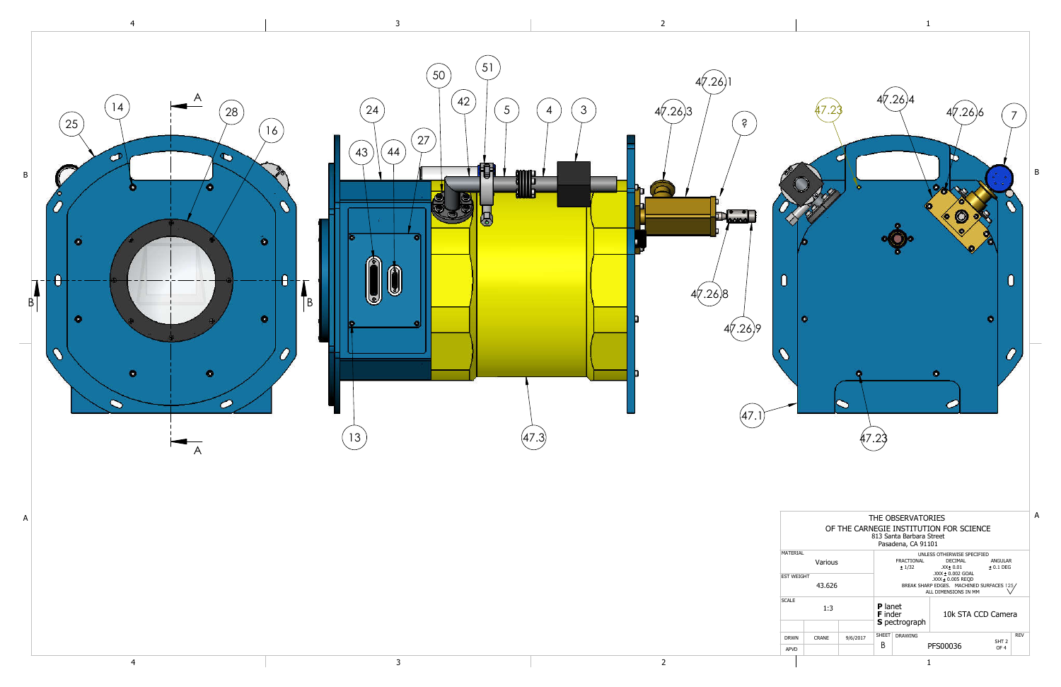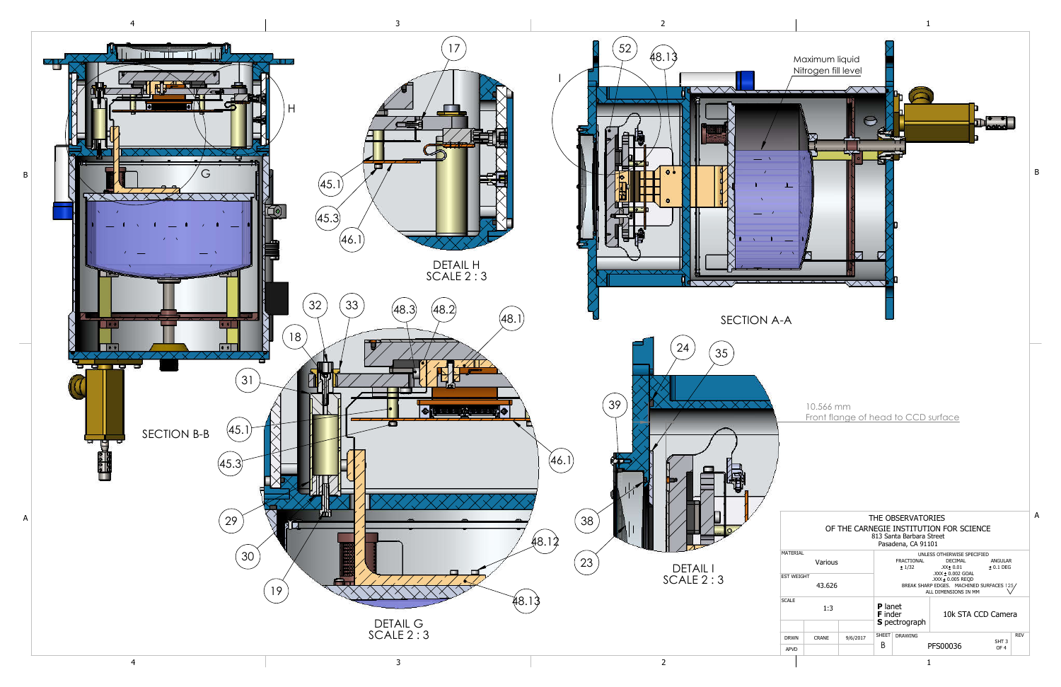